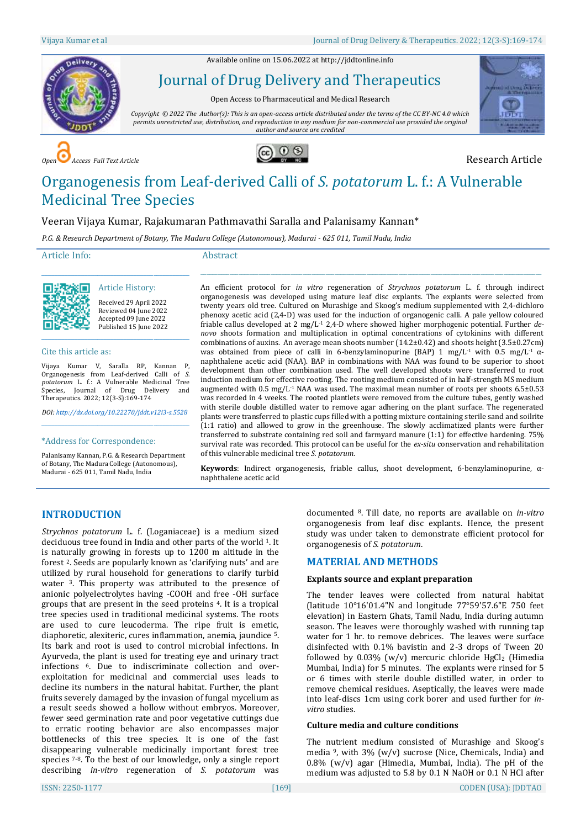Available online on 15.06.2022 a[t http://jddtonline.info](http://jddtonline.info/)



Journal of Drug Delivery and Therapeutics

Open Access to Pharmaceutical and Medical Research

*Copyright © 2022 The Author(s): This is an open-access article distributed under the terms of the CC BY-NC 4.0 which permits unrestricted use, distribution, and reproduction in any medium for non-commercial use provided the original author and source are credited*



*Open Access Full Text Article* Research Article



# Organogenesis from Leaf-derived Calli of *S. potatorum* L. f.: A Vulnerable Medicinal Tree Species

Veeran Vijaya Kumar, Rajakumaran Pathmavathi Saralla and Palanisamy Kannan\*

*P.G. & Research Department of Botany, The Madura College (Autonomous), Madurai - 625 011, Tamil Nadu, India*

#### Article Info:

Abstract



Article History:

\_\_\_\_\_\_\_\_\_\_\_\_\_\_\_\_\_\_\_\_\_\_\_\_\_\_\_\_\_\_\_\_\_\_\_\_\_\_\_\_\_\_\_\_\_

Received 29 April 2022 Reviewed 04 June 2022 Accepted 09 June 2022 Published 15 June 2022 \_\_\_\_\_\_\_\_\_\_\_\_\_\_\_\_\_\_\_\_\_\_\_\_\_\_\_\_\_\_\_\_\_\_\_\_\_\_\_\_\_\_\_\_\_

#### Cite this article as:

Vijaya Kumar V, Saralla RP, Kannan P, Organogenesis from Leaf-derived Calli of *S. potatorum* L. f.: A Vulnerable Medicinal Tree Species, Journal of Drug Delivery and Therapeutics. 2022; 12(3-S):169-174

*DOI[: http://dx.doi.org/10.22270/jddt.v12i3-s.5528](http://dx.doi.org/10.22270/jddt.v12i3-s.5528)*  \_\_\_\_\_\_\_\_\_\_\_\_\_\_\_\_\_\_\_\_\_\_\_\_\_\_\_\_\_\_\_\_\_\_\_\_\_\_\_\_\_\_\_\_\_

#### \*Address for Correspondence:

Palanisamy Kannan, P.G. & Research Department of Botany, The Madura College (Autonomous), Madurai - 625 011, Tamil Nadu, India

An efficient protocol for *in vitro* regeneration of *Strychnos potatorum* L. f. through indirect organogenesis was developed using mature leaf disc explants. The explants were selected from twenty years old tree. Cultured on Murashige and Skoog's medium supplemented with 2,4-dichloro phenoxy acetic acid (2,4-D) was used for the induction of organogenic calli. A pale yellow coloured friable callus developed at 2 mg/L-1 2,4-D where showed higher morphogenic potential. Further *denovo* shoots formation and multiplication in optimal concentrations of cytokinins with different combinations of auxins. An average mean shoots number  $(14.2\pm0.42)$  and shoots height  $(3.5\pm0.27$ cm) was obtained from piece of calli in 6-benzylaminopurine (BAP) 1 mg/L<sup>-1</sup> with 0.5 mg/L<sup>-1</sup>  $\alpha$ naphthalene acetic acid (NAA). BAP in combinations with NAA was found to be superior to shoot development than other combination used. The well developed shoots were transferred to root induction medium for effective rooting. The rooting medium consisted of in half-strength MS medium augmented with 0.5 mg/L-1 NAA was used. The maximal mean number of roots per shoots 6.5±0.53 was recorded in 4 weeks. The rooted plantlets were removed from the culture tubes, gently washed with sterile double distilled water to remove agar adhering on the plant surface. The regenerated plants were transferred to plastic cups filled with a potting mixture containing sterile sand and soilrite (1:1 ratio) and allowed to grow in the greenhouse. The slowly acclimatized plants were further transferred to substrate containing red soil and farmyard manure (1:1) for effective hardening. 75% survival rate was recorded. This protocol can be useful for the *ex-situ* conservation and rehabilitation of this vulnerable medicinal tree *S. potatorum*.

 $\_$  ,  $\_$  ,  $\_$  ,  $\_$  ,  $\_$  ,  $\_$  ,  $\_$  ,  $\_$  ,  $\_$  ,  $\_$  ,  $\_$  ,  $\_$  ,  $\_$  ,  $\_$  ,  $\_$  ,  $\_$  ,  $\_$  ,  $\_$  ,  $\_$  ,  $\_$  ,  $\_$  ,  $\_$  ,  $\_$  ,  $\_$  ,  $\_$  ,  $\_$  ,  $\_$  ,  $\_$  ,  $\_$  ,  $\_$  ,  $\_$  ,  $\_$  ,  $\_$  ,  $\_$  ,  $\_$  ,  $\_$  ,  $\_$  ,

**Keywords**: Indirect organogenesis, friable callus, shoot development, 6-benzylaminopurine, αnaphthalene acetic acid

### **INTRODUCTION**

*Strychnos potatorum* L. f. (Loganiaceae) is a medium sized deciduous tree found in India and other parts of the world <sup>1</sup>. It is naturally growing in forests up to 1200 m altitude in the forest <sup>2</sup>. Seeds are popularly known as 'clarifying nuts' and are utilized by rural household for generations to clarify turbid water 3. This property was attributed to the presence of anionic polyelectrolytes having -COOH and free -OH surface groups that are present in the seed proteins <sup>4</sup>. It is a tropical tree species used in traditional medicinal systems. The roots are used to cure leucoderma. The ripe fruit is emetic, diaphoretic, alexiteric, cures inflammation, anemia, jaundice 5. Its bark and root is used to control microbial infections. In Ayurveda, the plant is used for treating eye and urinary tract infections 6. Due to indiscriminate collection and overexploitation for medicinal and commercial uses leads to decline its numbers in the natural habitat. Further, the plant fruits severely damaged by the invasion of fungal mycelium as a result seeds showed a hollow without embryos. Moreover, fewer seed germination rate and poor vegetative cuttings due to erratic rooting behavior are also encompasses major bottlenecks of this tree species. It is one of the fast disappearing vulnerable medicinally important forest tree species 7-8. To the best of our knowledge, only a single report describing *in-vitro* regeneration of *S. potatorum* was documented 8. Till date, no reports are available on *in-vitro* organogenesis from leaf disc explants. Hence, the present study was under taken to demonstrate efficient protocol for organogenesis of *S. potatorum*.

#### **MATERIAL AND METHODS**

#### **Explants source and explant preparation**

The tender leaves were collected from natural habitat (latitude 10°16'01.4"N and longitude 77°59'57.6"E 750 feet elevation) in Eastern Ghats, Tamil Nadu, India during autumn season. The leaves were thoroughly washed with running tap water for 1 hr. to remove debrices. The leaves were surface disinfected with 0.1% bavistin and 2-3 drops of Tween 20 followed by  $0.03\%$  (w/v) mercuric chloride HgCl<sub>2</sub> (Himedia Mumbai, India) for 5 minutes. The explants were rinsed for 5 or 6 times with sterile double distilled water, in order to remove chemical residues. Aseptically, the leaves were made into leaf-discs 1cm using cork borer and used further for *invitro* studies.

#### **Culture media and culture conditions**

The nutrient medium consisted of Murashige and Skoog's media 9, with 3% (w/v) sucrose (Nice, Chemicals, India) and 0.8% (w/v) agar (Himedia, Mumbai, India). The pH of the medium was adjusted to 5.8 by 0.1 N NaOH or 0.1 N HCl after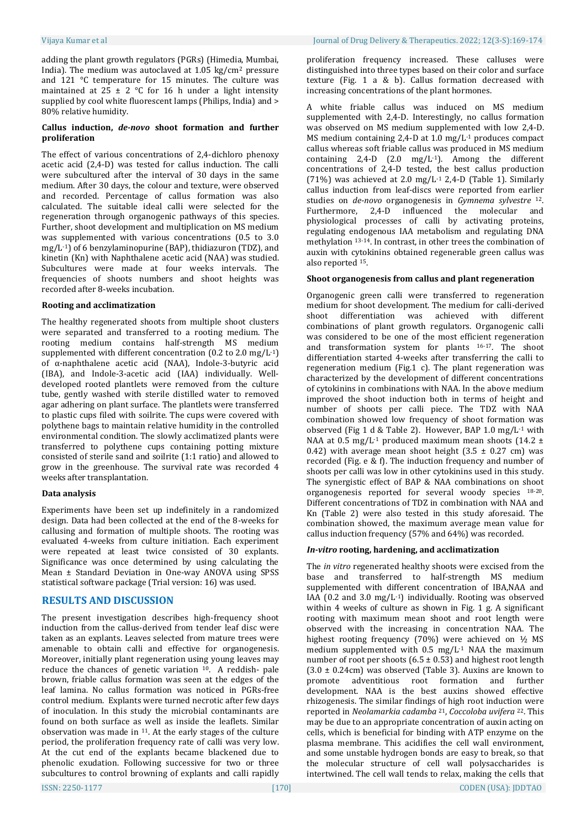adding the plant growth regulators (PGRs) (Himedia, Mumbai, India). The medium was autoclaved at  $1.05 \text{ kg/cm}^2$  pressure and 121 °C temperature for 15 minutes. The culture was maintained at  $25 \pm 2$  °C for 16 h under a light intensity supplied by cool white fluorescent lamps (Philips, India) and > 80% relative humidity.

#### **Callus induction,** *de-novo* **shoot formation and further proliferation**

The effect of various concentrations of 2,4-dichloro phenoxy acetic acid (2,4-D) was tested for callus induction. The calli were subcultured after the interval of 30 days in the same medium. After 30 days, the colour and texture, were observed and recorded. Percentage of callus formation was also calculated. The suitable ideal calli were selected for the regeneration through organogenic pathways of this species. Further, shoot development and multiplication on MS medium was supplemented with various concentrations (0.5 to 3.0 mg/L-1) of 6 benzylaminopurine (BAP), thidiazuron (TDZ), and kinetin (Kn) with Naphthalene acetic acid (NAA) was studied. Subcultures were made at four weeks intervals. The frequencies of shoots numbers and shoot heights was recorded after 8-weeks incubation.

#### **Rooting and acclimatization**

The healthy regenerated shoots from multiple shoot clusters were separated and transferred to a rooting medium. The rooting medium contains half-strength MS medium supplemented with different concentration (0.2 to 2.0 mg/L $^{-1}$ ) of α-naphthalene acetic acid (NAA), Indole-3-butyric acid (IBA), and Indole-3-acetic acid (IAA) individually. Welldeveloped rooted plantlets were removed from the culture tube, gently washed with sterile distilled water to removed agar adhering on plant surface. The plantlets were transferred to plastic cups filed with soilrite. The cups were covered with polythene bags to maintain relative humidity in the controlled environmental condition. The slowly acclimatized plants were transferred to polythene cups containing potting mixture consisted of sterile sand and soilrite (1:1 ratio) and allowed to grow in the greenhouse. The survival rate was recorded 4 weeks after transplantation.

#### **Data analysis**

Experiments have been set up indefinitely in a randomized design. Data had been collected at the end of the 8-weeks for callusing and formation of multiple shoots. The rooting was evaluated 4-weeks from culture initiation. Each experiment were repeated at least twice consisted of 30 explants. Significance was once determined by using calculating the Mean ± Standard Deviation in One-way ANOVA using SPSS statistical software package (Trial version: 16) was used.

### **RESULTS AND DISCUSSION**

The present investigation describes high-frequency shoot induction from the callus-derived from tender leaf disc were taken as an explants. Leaves selected from mature trees were amenable to obtain calli and effective for organogenesis. Moreover, initially plant regeneration using young leaves may reduce the chances of genetic variation 10. A reddish- pale brown, friable callus formation was seen at the edges of the leaf lamina. No callus formation was noticed in PGRs-free control medium. Explants were turned necrotic after few days of inoculation. In this study the microbial contaminants are found on both surface as well as inside the leaflets. Similar observation was made in <sup>11</sup>. At the early stages of the culture period, the proliferation frequency rate of calli was very low. At the cut end of the explants became blackened due to phenolic exudation. Following successive for two or three subcultures to control browning of explants and calli rapidly proliferation frequency increased. These calluses were distinguished into three types based on their color and surface texture (Fig. 1 a & b). Callus formation decreased with increasing concentrations of the plant hormones.

A white friable callus was induced on MS medium supplemented with 2,4-D. Interestingly, no callus formation was observed on MS medium supplemented with low 2,4-D. MS medium containing 2,4-D at 1.0 mg/L-1 produces compact callus whereas soft friable callus was produced in MS medium containing  $2,4-D$  (2.0 mg/L<sup>-1</sup>). Among the different concentrations of 2,4-D tested, the best callus production (71%) was achieved at 2.0 mg/L $-1$  2,4 $-$ D (Table 1). Similarly callus induction from leaf-discs were reported from earlier studies on *de-novo* organogenesis in *Gymnema sylvestre* <sup>12</sup>. Furthermore, 2,4-D influenced the molecular and physiological processes of calli by activating proteins, regulating endogenous IAA metabolism and regulating DNA methylation 13-14. In contrast, in other trees the combination of auxin with cytokinins obtained regenerable green callus was also reported 15.

#### **Shoot organogenesis from callus and plant regeneration**

Organogenic green calli were transferred to regeneration medium for shoot development. The medium for calli-derived shoot differentiation was achieved with different combinations of plant growth regulators. Organogenic calli was considered to be one of the most efficient regeneration and transformation system for plants 16-17. The shoot differentiation started 4-weeks after transferring the calli to regeneration medium (Fig.1 c). The plant regeneration was characterized by the development of different concentrations of cytokinins in combinations with NAA. In the above medium improved the shoot induction both in terms of height and number of shoots per calli piece. The TDZ with NAA combination showed low frequency of shoot formation was observed (Fig 1 d & Table 2). However, BAP 1.0 mg/ $L^{-1}$  with NAA at 0.5 mg/L<sup>-1</sup> produced maximum mean shoots (14.2  $\pm$ 0.42) with average mean shoot height  $(3.5 \pm 0.27 \text{ cm})$  was recorded (Fig. e & f). The induction frequency and number of shoots per calli was low in other cytokinins used in this study. The synergistic effect of BAP & NAA combinations on shoot organogenesis reported for several woody species 18-20. Different concentrations of TDZ in combination with NAA and Kn (Table 2) were also tested in this study aforesaid. The combination showed, the maximum average mean value for callus induction frequency (57% and 64%) was recorded.

#### *In-vitro* **rooting, hardening, and acclimatization**

The *in vitro* regenerated healthy shoots were excised from the base and transferred to half-strength MS medium supplemented with different concentration of IBA,NAA and IAA (0.2 and 3.0 mg/L-1) individually. Rooting was observed within 4 weeks of culture as shown in Fig. 1 g. A significant rooting with maximum mean shoot and root length were observed with the increasing in concentration NAA. The highest rooting frequency (70%) were achieved on ½ MS medium supplemented with 0.5 mg/L-1 NAA the maximum number of root per shoots ( $6.5 \pm 0.53$ ) and highest root length  $(3.0 \pm 0.24$ cm) was observed (Table 3). Auxins are known to promote adventitious root formation and further development. NAA is the best auxins showed effective rhizogenesis. The similar findings of high root induction were reported in *Neolamarkia cadamba* <sup>21</sup>, *Coccoloba uvifera* <sup>22</sup>. This may be due to an appropriate concentration of auxin acting on cells, which is beneficial for binding with ATP enzyme on the plasma membrane. This acidifies the cell wall environment, and some unstable hydrogen bonds are easy to break, so that the molecular structure of cell wall polysaccharides is intertwined. The cell wall tends to relax, making the cells that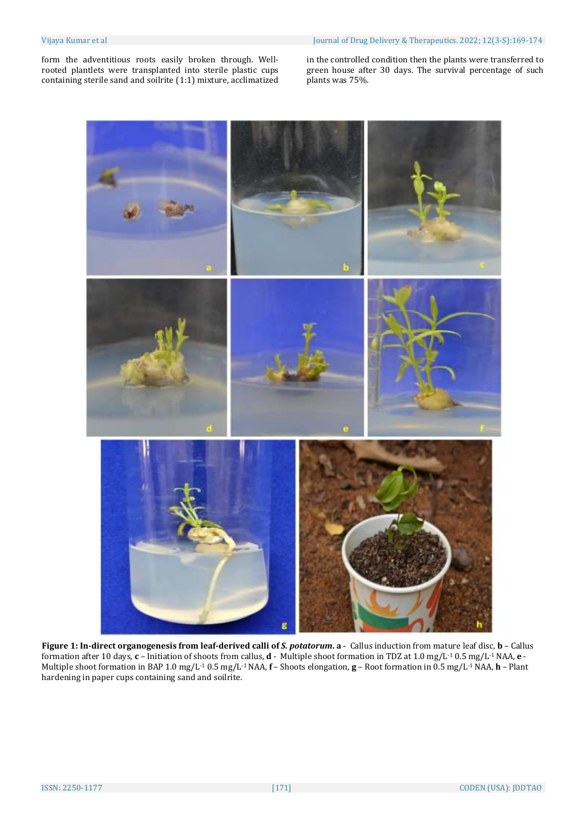form the adventitious roots easily broken through. Wellrooted plantlets were transplanted into sterile plastic cups containing sterile sand and soilrite (1:1) mixture, acclimatized in the controlled condition then the plants were transferred to green house after 30 days. The survival percentage of such plants was 75%.



**Figure 1: In-direct organogenesis from leaf-derived calli of** *S. potatorum***. a** - Callus induction from mature leaf disc, **b** – Callus formation after 10 days, **c** – Initiation of shoots from callus, **d** - Multiple shoot formation in TDZ at 1.0 mg/L-1 0.5 mg/L-1 NAA, **e** - Multiple shoot formation in BAP 1.0 mg/L-1 0.5 mg/L-1 NAA, **f** – Shoots elongation, **g** – Root formation in 0.5 mg/L-1 NAA, **h** – Plant hardening in paper cups containing sand and soilrite.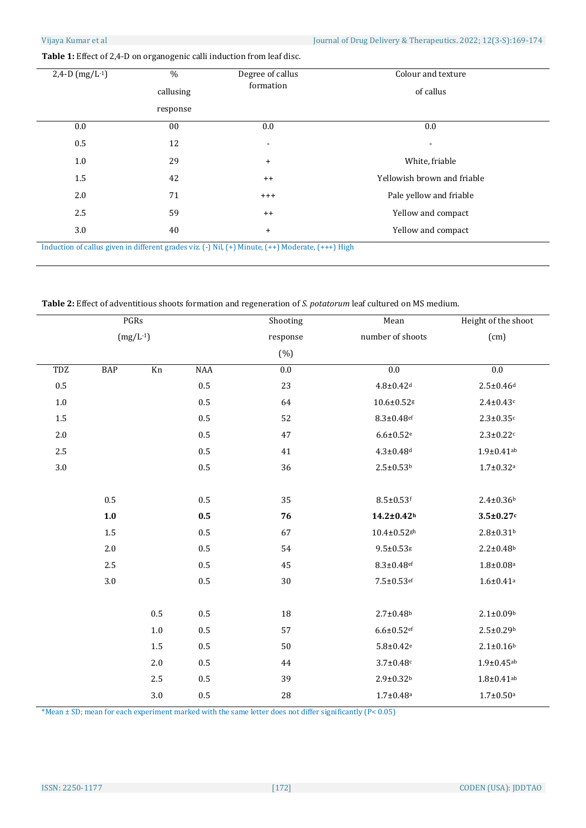## **Table 1:** Effect of 2,4-D on organogenic calli induction from leaf disc.

| $2,4-D$ (mg/L-1) | $\%$      | Degree of callus | Colour and texture<br>of callus |  |
|------------------|-----------|------------------|---------------------------------|--|
|                  | callusing | formation        |                                 |  |
|                  | response  |                  |                                 |  |
| 0.0              | 00        | 0.0              | $0.0\,$                         |  |
| 0.5              | 12        |                  |                                 |  |
| 1.0              | 29        | $\ddot{}$        | White, friable                  |  |
| 1.5              | 42        | $++$             | Yellowish brown and friable     |  |
| 2.0              | 71        | $+++$            | Pale yellow and friable         |  |
| 2.5              | 59        | $++$             | Yellow and compact              |  |
| 3.0              | 40        | $\ddot{}$        | Yellow and compact              |  |

### **Table 2:** Effect of adventitious shoots formation and regeneration of *S. potatorum* leaf cultured on MS medium.

| PGRs          |            |                 |            | Shooting         | Mean                        | Height of the shoot         |
|---------------|------------|-----------------|------------|------------------|-----------------------------|-----------------------------|
| $(mg/L^{-1})$ |            |                 |            | response         | number of shoots            | (cm)                        |
|               |            |                 |            | $(\% )$          |                             |                             |
| TDZ           | <b>BAP</b> | $\overline{Kn}$ | <b>NAA</b> | $\overline{0.0}$ | $\overline{0.0}$            | $\overline{0.0}$            |
| 0.5           |            |                 | 0.5        | 23               | $4.8{\pm}0.42^{\mathrm{d}}$ | $2.5 \pm 0.46$ <sup>d</sup> |
| $1.0\,$       |            |                 | 0.5        | 64               | $10.6{\pm}0.52\mathrm{s}$   | $2.4 \pm 0.43$ c            |
| $1.5\,$       |            |                 | 0.5        | 52               | $8.3 \pm 0.48$ ef           | $2.3 \pm 0.35$ c            |
| $2.0\,$       |            |                 | $0.5\,$    | 47               | $6.6 \pm 0.52e$             | $2.3 \pm 0.22$ c            |
| 2.5           |            |                 | 0.5        | 41               | $4.3 \pm 0.48$ d            | $1.9\pm0.41$ ab             |
| $3.0\,$       |            |                 | 0.5        | 36               | $2.5\pm0.53^{\rm b}$        | $1.7{\pm}0.32^{\rm a}$      |
|               |            |                 |            |                  |                             |                             |
|               | 0.5        |                 | 0.5        | 35               | $8.5\pm0.53^{\rm f}$        | $2.4 \pm 0.36$ <sup>b</sup> |
|               | 1.0        |                 | 0.5        | 76               | 14.2±0.42h                  | $3.5 \pm 0.27$ c            |
|               | $1.5\,$    |                 | 0.5        | 67               | $10.4 \pm 0.52$ gh          | $2.8 \pm 0.31$ <sup>b</sup> |
|               | 2.0        |                 | 0.5        | 54               | $9.5{\pm}0.53$ s            | $2.2 \pm 0.48$              |
|               | 2.5        |                 | $0.5\,$    | 45               | $8.3 \pm 0.48$ ef           | $1.8{\pm}0.08^{\rm a}$      |
|               | 3.0        |                 | $0.5\,$    | 30               | $7.5 \pm 0.53$ ef           | $1.6 \pm 0.41$ <sup>a</sup> |
|               |            |                 |            |                  |                             |                             |
|               |            | 0.5             | $0.5\,$    | $18\,$           | $2.7 \pm 0.48$ <sup>b</sup> | $2.1 \pm 0.09$ <sup>b</sup> |
|               |            | $1.0\,$         | $0.5\,$    | 57               | $6.6 \pm 0.52$ ef           | $2.5 \pm 0.29$              |
|               |            | $1.5\,$         | $0.5\,$    | $50\,$           | $5.8 \pm 0.42$ <sup>e</sup> | $2.1 \pm 0.16$              |
|               |            | $2.0\,$         | 0.5        | 44               | $3.7\pm0.48c$               | $1.9\pm0.45^{\rm ab}$       |
|               |            | $2.5\,$         | $0.5\,$    | 39               | $2.9\pm0.32^{\rm b}$        | $1.8{\pm}0.41^{\rm ab}$     |
|               |            | $3.0\,$         | $0.5\,$    | 28               | $1.7 \pm 0.48^{\rm a}$      | $1.7 \pm 0.50^{\rm a}$      |

\*Mean ± SD; mean for each experiment marked with the same letter does not differ significantly (P< 0.05)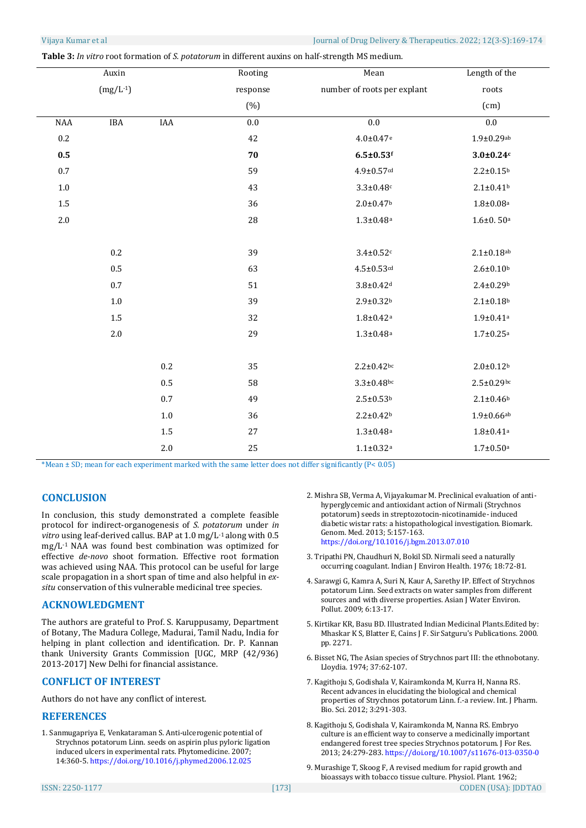**Table 3:** *In vitro* root formation of *S. potatorum* in different auxins on half-strength MS medium.

|            | Auxin         |         | Rooting          | Mean                        | Length of the               |
|------------|---------------|---------|------------------|-----------------------------|-----------------------------|
|            | $(mg/L^{-1})$ |         | response         | number of roots per explant | $\texttt{roots}$            |
|            |               |         | $(\% )$          |                             | (cm)                        |
| <b>NAA</b> | <b>IBA</b>    | IAA     | $\overline{0.0}$ | $\overline{0.0}$            | $0.0\,$                     |
| $0.2\,$    |               |         | 42               | $4.0 \pm 0.47$ <sup>e</sup> | $1.9\pm0.29$ ab             |
| 0.5        |               |         | 70               | $6.5 \pm 0.53$ f            | $3.0\pm0.24c$               |
| $0.7\,$    |               |         | 59               | $4.9 \pm 0.57$ cd           | $2.2 \pm 0.15^b$            |
| $1.0\,$    |               |         | 43               | $3.3 \pm 0.48$ c            | $2.1 \pm 0.41$ <sup>b</sup> |
| $1.5\,$    |               |         | 36               | $2.0 \pm 0.47$ <sup>b</sup> | $1.8{\pm}0.08^{\rm a}$      |
| $2.0\,$    |               |         | 28               | $1.3 + 0.48$ <sup>a</sup>   | $1.6 \pm 0.50$ <sup>a</sup> |
|            |               |         |                  |                             |                             |
|            | $0.2\,$       |         | 39               | $3.4\pm0.52$ c              | $2.1\pm0.18^{\rm ab}$       |
|            | $0.5\,$       |         | 63               | $4.5 \pm 0.53$ cd           | $2.6 \pm 0.10^b$            |
|            | $0.7\,$       |         | 51               | $3.8 \pm 0.42$ <sup>d</sup> | $2.4{\pm}0.29^{\rm b}$      |
|            | $1.0\,$       |         | 39               | $2.9 \pm 0.32$              | $2.1{\pm}0.18^{\rm b}$      |
|            | $1.5\,$       |         | 32               | $1.8 + 0.42a$               | $1.9 \pm 0.41$ <sup>a</sup> |
|            | $2.0\,$       |         | 29               | $1.3 \pm 0.48$ <sup>a</sup> | $1.7{\pm}0.25^{\rm a}$      |
|            |               |         |                  |                             |                             |
|            |               | $0.2\,$ | 35               | $2.2 \pm 0.42$ bc           | $2.0{\pm}0.12^{\rm b}$      |
|            |               | $0.5\,$ | 58               | $3.3\pm0.48$ bc             | $2.5 \pm 0.29$ bc           |
|            |               | $0.7\,$ | 49               | $2.5 \pm 0.53$              | $2.1 \pm 0.46$              |
|            |               | $1.0\,$ | 36               | $2.2 \pm 0.42$              | $1.9\pm0.66$ ab             |
|            |               | $1.5\,$ | 27               | $1.3 + 0.48$ <sup>a</sup>   | $1.8 + 0.41$ <sup>a</sup>   |
|            |               | $2.0\,$ | 25               | $1.1 \pm 0.32^{\rm a}$      | $1.7{\pm}0.50^{\rm a}$      |

\*Mean ± SD; mean for each experiment marked with the same letter does not differ significantly (P< 0.05)

### **CONCLUSION**

In conclusion, this study demonstrated a complete feasible protocol for indirect-organogenesis of *S. potatorum* under *in vitro* using leaf-derived callus. BAP at 1.0 mg/L-1 along with 0.5 mg/L-1 NAA was found best combination was optimized for effective *de-novo* shoot formation. Effective root formation was achieved using NAA. This protocol can be useful for large scale propagation in a short span of time and also helpful in *exsitu* conservation of this vulnerable medicinal tree species.

#### **ACKNOWLEDGMENT**

The authors are grateful to Prof. S. Karuppusamy, Department of Botany, The Madura College, Madurai, Tamil Nadu, India for helping in plant collection and identification. Dr. P. Kannan thank University Grants Commission [UGC, MRP (42/936) 2013-2017] New Delhi for financial assistance.

### **CONFLICT OF INTEREST**

Authors do not have any conflict of interest.

#### **REFERENCES**

1. Sanmugapriya E, Venkataraman S. Anti-ulcerogenic potential of Strychnos potatorum Linn. seeds on aspirin plus pyloric ligation induced ulcers in experimental rats. Phytomedicine. 2007; 14:360-5. <https://doi.org/10.1016/j.phymed.2006.12.025>

- 2. Mishra SB, Verma A, Vijayakumar M. Preclinical evaluation of antihyperglycemic and antioxidant action of Nirmali (Strychnos potatorum) seeds in streptozotocin-nicotinamide- induced diabetic wistar rats: a histopathological investigation. Biomark. Genom. Med. 2013; 5:157-163. <https://doi.org/10.1016/j.bgm.2013.07.010>
- 3. Tripathi PN, Chaudhuri N, Bokil SD. Nirmali seed a naturally occurring coagulant. Indian J Environ Health. 1976; 18:72-81.
- 4. Sarawgi G, Kamra A, Suri N, Kaur A, Sarethy IP. Effect of Strychnos potatorum Linn. Seed extracts on water samples from different sources and with diverse properties. Asian J Water Environ. Pollut. 2009; 6:13-17.
- 5. Kirtikar KR, Basu BD. Illustrated Indian Medicinal Plants.Edited by: Mhaskar K S, Blatter E, Cains J F. Sir Satguru's Publications. 2000. pp. 2271.
- 6. Bisset NG, The Asian species of Strychnos part III: the ethnobotany. Lloydia. 1974; 37:62-107.
- 7. Kagithoju S, Godishala V, Kairamkonda M, Kurra H, Nanna RS. Recent advances in elucidating the biological and chemical properties of Strychnos potatorum Linn. f.-a review. Int. J Pharm. Bio. Sci. 2012; 3:291-303.
- 8. Kagithoju S, Godishala V, Kairamkonda M, Nanna RS. Embryo culture is an efficient way to conserve a medicinally important endangered forest tree species Strychnos potatorum. J For Res. 2013; 24:279-283. <https://doi.org/10.1007/s11676-013-0350-0>
- 9. Murashige T, Skoog F, A revised medium for rapid growth and bioassays with tobacco tissue culture. Physiol. Plant. 1962;